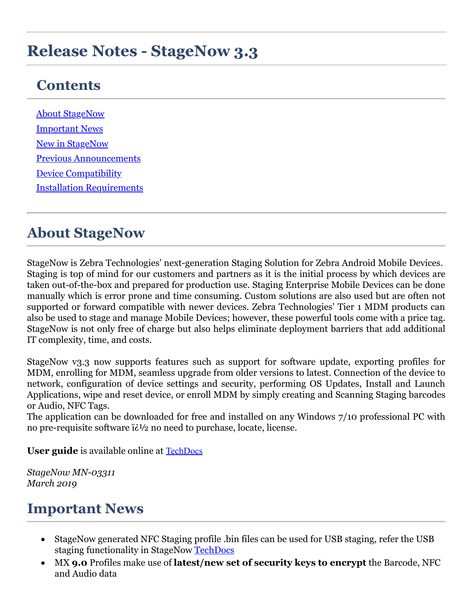# **Release Notes - StageNow 3.3**

### **Contents**

[About StageNow](#page-0-0) [Important News](#page-0-1) [New in StageNow](#page-1-0) [Previous Announcements](#page-2-0) [Device Compatibility](#page-2-1) [Installation Requirements](#page-2-2)

#### <span id="page-0-0"></span>**About StageNow**

StageNow is Zebra Technologies' next-generation Staging Solution for Zebra Android Mobile Devices. Staging is top of mind for our customers and partners as it is the initial process by which devices are taken out-of-the-box and prepared for production use. Staging Enterprise Mobile Devices can be done manually which is error prone and time consuming. Custom solutions are also used but are often not supported or forward compatible with newer devices. Zebra Technologies' Tier 1 MDM products can also be used to stage and manage Mobile Devices; however, these powerful tools come with a price tag. StageNow is not only free of charge but also helps eliminate deployment barriers that add additional IT complexity, time, and costs.

StageNow v3.3 now supports features such as support for software update, exporting profiles for MDM, enrolling for MDM, seamless upgrade from older versions to latest. Connection of the device to network, configuration of device settings and security, performing OS Updates, Install and Launch Applications, wipe and reset device, or enroll MDM by simply creating and Scanning Staging barcodes or Audio, NFC Tags.

The application can be downloaded for free and installed on any Windows 7/10 professional PC with no pre-requisite software  $i\partial z$  no need to purchase, locate, license.

**User guide** is available online at **[TechDocs](http://techdocs.zebra.com/stagenow/3-3/about/)** 

*StageNow MN-03311 March 2019*

#### <span id="page-0-1"></span>**Important News**

- · StageNow generated NFC Staging profile .bin files can be used for USB staging, refer the USB staging functionality in StageNow **TechDocs**
- · MX **9.0** Profiles make use of **latest/new set of security keys to encrypt** the Barcode, NFC and Audio data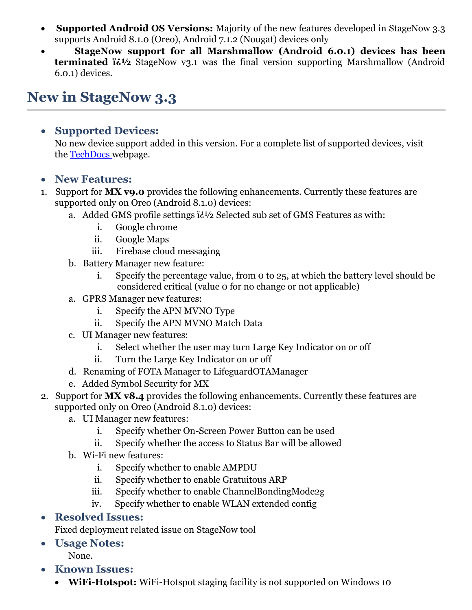- · **Supported Android OS Versions:** Majority of the new features developed in StageNow 3.3 supports Android 8.1.0 (Oreo), Android 7.1.2 (Nougat) devices only
- · **StageNow support for all Marshmallow (Android 6.0.1) devices has been terminated**  $i \lambda$  StageNow v3.1 was the final version supporting Marshmallow (Android 6.0.1) devices.

# <span id="page-1-0"></span>**New in StageNow 3.3**

#### · **Supported Devices:**

No new device support added in this version. For a complete list of supported devices, visit the **[TechDocs](http://techdocs.zebra.com/stagenow/3-3/about/)** webpage.

- · **New Features:**
- 1. Support for **MX v9.0** provides the following enhancements. Currently these features are supported only on Oreo (Android 8.1.0) devices:
	- a. Added GMS profile settings  $i\partial y$  Selected sub set of GMS Features as with:
		- i. Google chrome
		- ii. Google Maps
		- iii. Firebase cloud messaging
	- b. Battery Manager new feature:
		- i. Specify the percentage value, from 0 to 25, at which the battery level should be considered critical (value 0 for no change or not applicable)
	- a. GPRS Manager new features:
		- i. Specify the APN MVNO Type
		- ii. Specify the APN MVNO Match Data
	- c. UI Manager new features:
		- i. Select whether the user may turn Large Key Indicator on or off
		- ii. Turn the Large Key Indicator on or off
	- d. Renaming of FOTA Manager to LifeguardOTAManager
	- e. Added Symbol Security for MX
- 2. Support for **MX v8.4** provides the following enhancements. Currently these features are supported only on Oreo (Android 8.1.0) devices:
	- a. UI Manager new features:
		- i. Specify whether On-Screen Power Button can be used
		- ii. Specify whether the access to Status Bar will be allowed
	- b. Wi-Fi new features:
		- i. Specify whether to enable AMPDU
		- ii. Specify whether to enable Gratuitous ARP
		- iii. Specify whether to enable ChannelBondingMode2g
		- iv. Specify whether to enable WLAN extended config
- · **Resolved Issues:**

Fixed deployment related issue on StageNow tool

· **Usage Notes:**

None.

- · **Known Issues:**
	- · **WiFi-Hotspot:** WiFi-Hotspot staging facility is not supported on Windows 10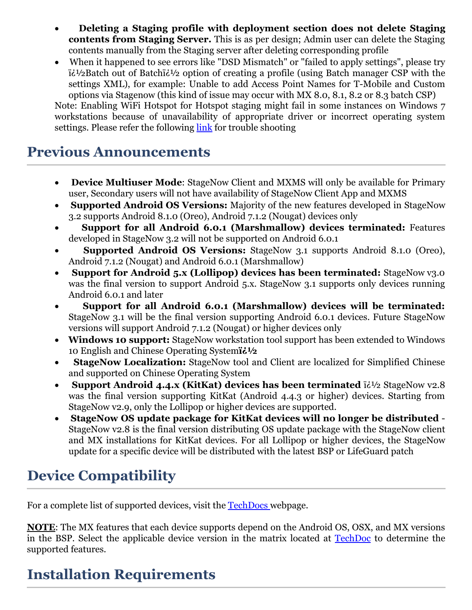- · **Deleting a Staging profile with deployment section does not delete Staging contents from Staging Server.** This is as per design; Admin user can delete the Staging contents manually from the Staging server after deleting corresponding profile
- When it happened to see errors like "DSD Mismatch" or "failed to apply settings", please try  $i\zeta^{1/2}$ Batch out of Batch $i\zeta^{1/2}$  option of creating a profile (using Batch manager CSP with the settings XML), for example: Unable to add Access Point Names for T-Mobile and Custom options via Stagenow (this kind of issue may occur with MX 8.0, 8.1, 8.2 or 8.3 batch CSP)

Note: Enabling WiFi Hotspot for Hotspot staging might fail in some instances on Windows 7 workstations because of unavailability of appropriate driver or incorrect operating system settings. Please refer the following [link](http://techdocs.zebra.com/stagenow/3-3/troubleshooting/) for trouble shooting

#### <span id="page-2-0"></span>**Previous Announcements**

- · **Device Multiuser Mode**: StageNow Client and MXMS will only be available for Primary user, Secondary users will not have availability of StageNow Client App and MXMS
- · **Supported Android OS Versions:** Majority of the new features developed in StageNow 3.2 supports Android 8.1.0 (Oreo), Android 7.1.2 (Nougat) devices only
- · **Support for all Android 6.0.1 (Marshmallow) devices terminated:** Features developed in StageNow 3.2 will not be supported on Android 6.0.1
- · **Supported Android OS Versions:** StageNow 3.1 supports Android 8.1.0 (Oreo), Android 7.1.2 (Nougat) and Android 6.0.1 (Marshmallow)
- · **Support for Android 5.x (Lollipop) devices has been terminated:** StageNow v3.0 was the final version to support Android 5.x. StageNow 3.1 supports only devices running Android 6.0.1 and later
- · **Support for all Android 6.0.1 (Marshmallow) devices will be terminated:** StageNow 3.1 will be the final version supporting Android 6.0.1 devices. Future StageNow versions will support Android 7.1.2 (Nougat) or higher devices only
- · **Windows 10 support:** StageNow workstation tool support has been extended to Windows 10 English and Chinese Operating System**i** $\frac{1}{2}$
- · **StageNow Localization:** StageNow tool and Client are localized for Simplified Chinese and supported on Chinese Operating System
- **Support Android 4.4.x (KitKat) devices has been terminated**  $i\partial z$  StageNow v2.8 was the final version supporting KitKat (Android 4.4.3 or higher) devices. Starting from StageNow v2.9, only the Lollipop or higher devices are supported.
- · **StageNow OS update package for KitKat devices will no longer be distributed**  StageNow v2.8 is the final version distributing OS update package with the StageNow client and MX installations for KitKat devices. For all Lollipop or higher devices, the StageNow update for a specific device will be distributed with the latest BSP or LifeGuard patch

## <span id="page-2-1"></span>**Device Compatibility**

For a complete list of supported devices, visit the **[TechDocs](http://techdocs.zebra.com/stagenow/3-3/about/)** webpage.

**NOTE**: The MX features that each device supports depend on the Android OS, OSX, and MX versions in the BSP. Select the applicable device version in the matrix located at [TechDoc](http://techdocs.zebra.com/mx/compatibility) to determine the supported features.

# <span id="page-2-2"></span>**Installation Requirements**